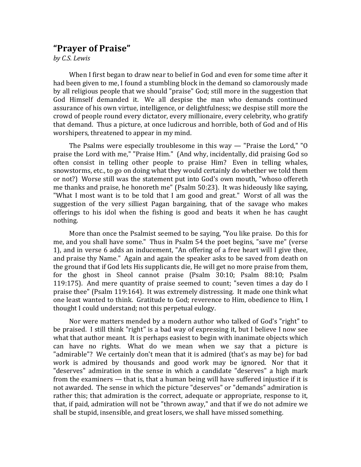## **"Prayer of Praise"**

*by C.S. Lewis*

When I first began to draw near to belief in God and even for some time after it had been given to me, I found a stumbling block in the demand so clamorously made by all religious people that we should "praise" God; still more in the suggestion that God Himself demanded it. We all despise the man who demands continued assurance of his own virtue, intelligence, or delightfulness; we despise still more the crowd of people round every dictator, every millionaire, every celebrity, who gratify that demand. Thus a picture, at once ludicrous and horrible, both of God and of His worshipers, threatened to appear in my mind.

The Psalms were especially troublesome in this way — "Praise the Lord," "O praise the Lord with me," "Praise Him." (And why, incidentally, did praising God so often consist in telling other people to praise Him? Even in telling whales, snowstorms, etc., to go on doing what they would certainly do whether we told them or not?) Worse still was the statement put into God's own mouth, "whoso offereth me thanks and praise, he honoreth me" (Psalm 50:23). It was hideously like saying, "What I most want is to be told that I am good and great." Worst of all was the suggestion of the very silliest Pagan bargaining, that of the savage who makes offerings to his idol when the fishing is good and beats it when he has caught nothing.

More than once the Psalmist seemed to be saying, "You like praise. Do this for me, and you shall have some." Thus in Psalm 54 the poet begins, "save me" (verse 1), and in verse 6 adds an inducement, "An offering of a free heart will I give thee, and praise thy Name." Again and again the speaker asks to be saved from death on the ground that if God lets His supplicants die, He will get no more praise from them, for the ghost in Sheol cannot praise (Psalm  $30:10$ ; Psalm  $88:10$ ; Psalm 119:175). And mere quantity of praise seemed to count; "seven times a day do I praise thee" (Psalm 119:164). It was extremely distressing. It made one think what one least wanted to think. Gratitude to God; reverence to Him, obedience to Him, I thought I could understand; not this perpetual eulogy.

Nor were matters mended by a modern author who talked of God's "right" to be praised. I still think "right" is a bad way of expressing it, but I believe I now see what that author meant. It is perhaps easiest to begin with inanimate objects which can have no rights. What do we mean when we say that a picture is "admirable"? We certainly don't mean that it is admired (that's as may be) for bad work is admired by thousands and good work may be ignored. Nor that it "deserves" admiration in the sense in which a candidate "deserves" a high mark from the examiners  $-$  that is, that a human being will have suffered injustice if it is not awarded. The sense in which the picture "deserves" or "demands" admiration is rather this; that admiration is the correct, adequate or appropriate, response to it, that, if paid, admiration will not be "thrown away," and that if we do not admire we shall be stupid, insensible, and great losers, we shall have missed something.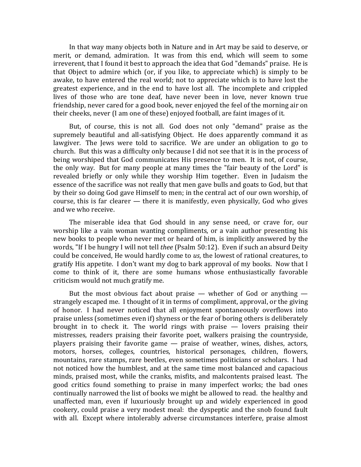In that way many objects both in Nature and in Art may be said to deserve, or merit, or demand, admiration. It was from this end, which will seem to some irreverent, that I found it best to approach the idea that God "demands" praise. He is that Object to admire which (or, if you like, to appreciate which) is simply to be awake, to have entered the real world; not to appreciate which is to have lost the greatest experience, and in the end to have lost all. The incomplete and crippled lives of those who are tone deaf, have never been in love, never known true friendship, never cared for a good book, never enjoyed the feel of the morning air on their cheeks, never (I am one of these) enjoyed football, are faint images of it.

But, of course, this is not all. God does not only "demand" praise as the supremely beautiful and all-satisfying Object. He does apparently command it as lawgiver. The Jews were told to sacrifice. We are under an obligation to go to church. But this was a difficulty only because I did not see that it is in the process of being worshiped that God communicates His presence to men. It is not, of course, the only way. But for many people at many times the "fair beauty of the Lord" is revealed briefly or only while they worship Him together. Even in Judaism the essence of the sacrifice was not really that men gave bulls and goats to God, but that by their so doing God gave Himself to men; in the central act of our own worship, of course, this is far clearer  $-$  there it is manifestly, even physically, God who gives and we who receive.

The miserable idea that God should in any sense need, or crave for, our worship like a vain woman wanting compliments, or a vain author presenting his new books to people who never met or heard of him, is implicitly answered by the words, "If I be hungry I will not tell *thee* (Psalm 50:12). Even if such an absurd Deity could be conceived, He would hardly come to *us*, the lowest of rational creatures, to gratify His appetite. I don't want my dog to bark approval of my books. Now that I come to think of it, there are some humans whose enthusiastically favorable criticism would not much gratify me.

But the most obvious fact about praise  $-$  whether of God or anything  $$ strangely escaped me. I thought of it in terms of compliment, approval, or the giving of honor. I had never noticed that all enjoyment spontaneously overflows into praise unless (sometimes even if) shyness or the fear of boring others is deliberately brought in to check it. The world rings with praise  $-$  lovers praising their mistresses, readers praising their favorite poet, walkers praising the countryside, players praising their favorite game  $-$  praise of weather, wines, dishes, actors, motors, horses, colleges, countries, historical personages, children, flowers, mountains, rare stamps, rare beetles, even sometimes politicians or scholars. I had not noticed how the humblest, and at the same time most balanced and capacious minds, praised most, while the cranks, misfits, and malcontents praised least. The good critics found something to praise in many imperfect works; the bad ones continually narrowed the list of books we might be allowed to read. the healthy and unaffected man, even if luxuriously brought up and widely experienced in good cookery, could praise a very modest meal: the dyspeptic and the snob found fault with all. Except where intolerably adverse circumstances interfere, praise almost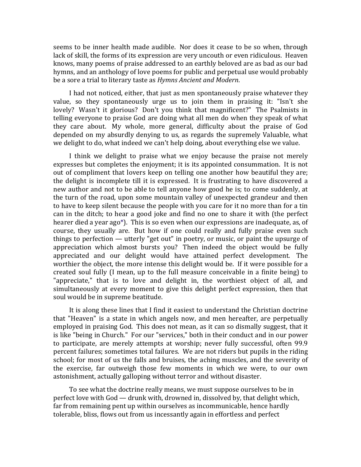seems to be inner health made audible. Nor does it cease to be so when, through lack of skill, the forms of its expression are very uncouth or even ridiculous. Heaven knows, many poems of praise addressed to an earthly beloved are as bad as our bad hymns, and an anthology of love poems for public and perpetual use would probably be a sore a trial to literary taste as *Hymns Ancient and Modern*.

I had not noticed, either, that just as men spontaneously praise whatever they value, so they spontaneously urge us to join them in praising it: "Isn't she lovely? Wasn't it glorious? Don't you think that magnificent?" The Psalmists in telling everyone to praise God are doing what all men do when they speak of what they care about. My whole, more general, difficulty about the praise of God depended on my absurdly denying to us, as regards the supremely Valuable, what we delight to do, what indeed we can't help doing, about everything else we value.

I think we delight to praise what we enjoy because the praise not merely expresses but completes the enjoyment; it is its appointed consummation. It is not out of compliment that lovers keep on telling one another how beautiful they are; the delight is incomplete till it is expressed. It is frustrating to have discovered a new author and not to be able to tell anyone how good he is; to come suddenly, at the turn of the road, upon some mountain valley of unexpected grandeur and then to have to keep silent because the people with you care for it no more than for a tin can in the ditch; to hear a good joke and find no one to share it with (the perfect hearer died a year ago\*). This is so even when our expressions are inadequate, as, of course, they usually are. But how if one could really and fully praise even such things to perfection  $-$  utterly "get out" in poetry, or music, or paint the upsurge of appreciation which almost bursts you? Then indeed the object would be fully appreciated and our delight would have attained perfect development. The worthier the object, the more intense this delight would be. If it were possible for a created soul fully (I mean, up to the full measure conceivable in a finite being) to "appreciate," that is to love and delight in, the worthiest object of all, and simultaneously at every moment to give this delight perfect expression, then that soul would be in supreme beatitude.

It is along these lines that I find it easiest to understand the Christian doctrine that "Heaven" is a state in which angels now, and men hereafter, are perpetually employed in praising God. This does not mean, as it can so dismally suggest, that it is like "being in Church." For our "services," both in their conduct and in our power to participate, are merely attempts at worship; never fully successful, often 99.9 percent failures; sometimes total failures. We are not riders but pupils in the riding school; for most of us the falls and bruises, the aching muscles, and the severity of the exercise, far outweigh those few moments in which we were, to our own astonishment, actually galloping without terror and without disaster.

To see what the doctrine really means, we must suppose ourselves to be in perfect love with God — drunk with, drowned in, dissolved by, that delight which, far from remaining pent up within ourselves as incommunicable, hence hardly tolerable, bliss, flows out from us incessantly again in effortless and perfect